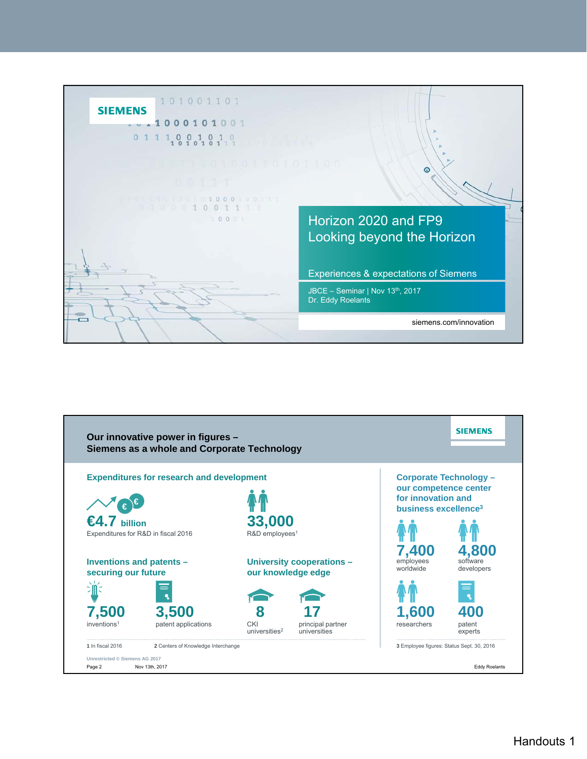

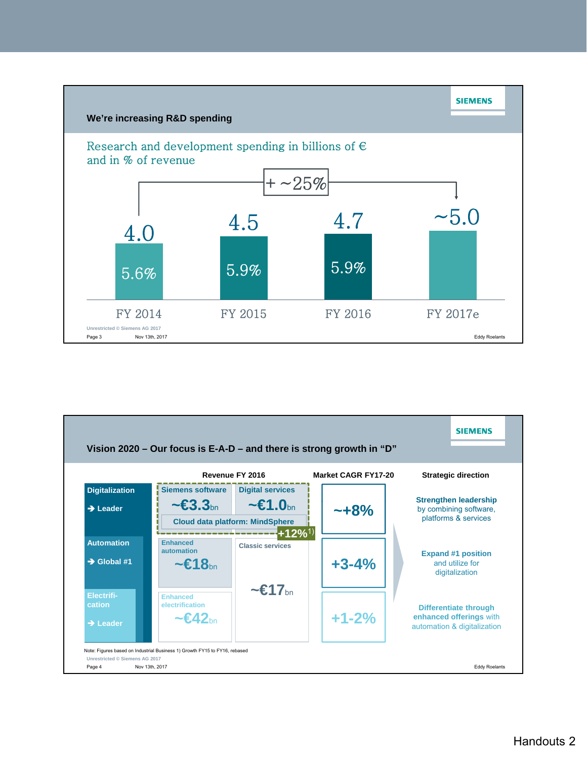

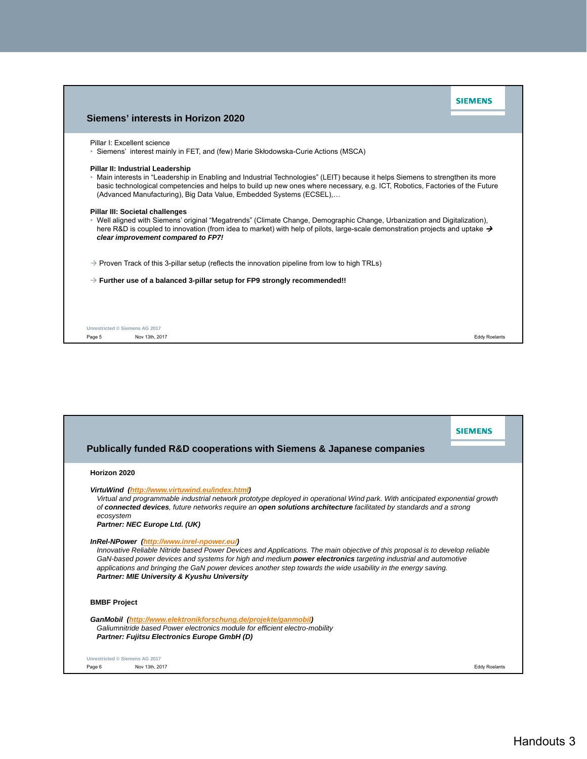| Siemens' interests in Horizon 2020                                                                                                                                                                                                                                                                                                                                         | <b>SIEMENS</b> |
|----------------------------------------------------------------------------------------------------------------------------------------------------------------------------------------------------------------------------------------------------------------------------------------------------------------------------------------------------------------------------|----------------|
| Pillar I: Excellent science<br>• Siemens' interest mainly in FET, and (few) Marie Skłodowska-Curie Actions (MSCA)                                                                                                                                                                                                                                                          |                |
| Pillar II: Industrial Leadership<br>• Main interests in "Leadership in Enabling and Industrial Technologies" (LEIT) because it helps Siemens to strengthen its more<br>basic technological competencies and helps to build up new ones where necessary, e.g. ICT, Robotics, Factories of the Future<br>(Advanced Manufacturing), Big Data Value, Embedded Systems (ECSEL), |                |
| Pillar III: Societal challenges<br>• Well aligned with Siemens' original "Megatrends" (Climate Change, Demographic Change, Urbanization and Digitalization),<br>here R&D is coupled to innovation (from idea to market) with help of pilots, large-scale demonstration projects and uptake $\rightarrow$<br>clear improvement compared to FP7!                             |                |
| $\rightarrow$ Proven Track of this 3-pillar setup (reflects the innovation pipeline from low to high TRLs)                                                                                                                                                                                                                                                                 |                |
| $\rightarrow$ Further use of a balanced 3-pillar setup for FP9 strongly recommended!!                                                                                                                                                                                                                                                                                      |                |

Page 5 Nov 13th, 2017 Eddy Roelants

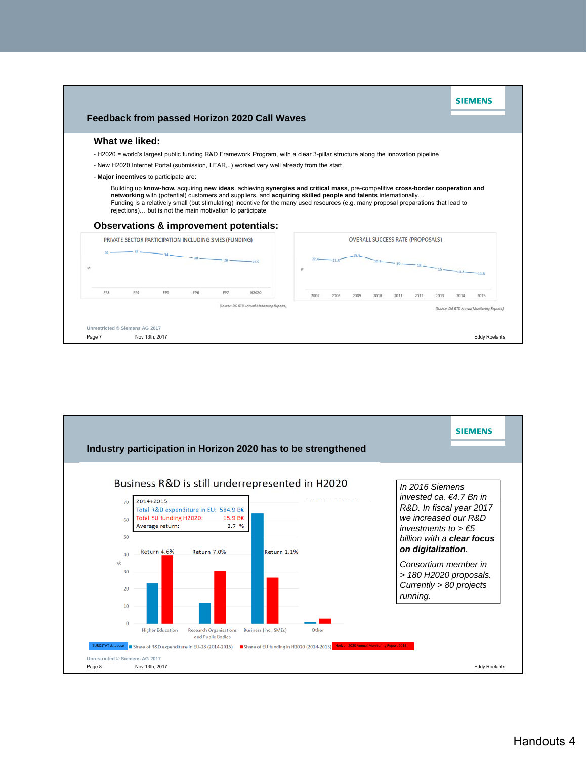

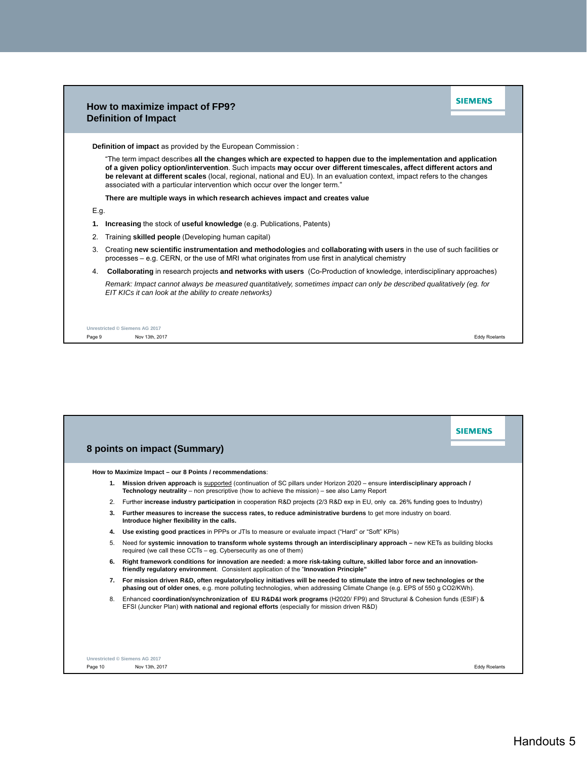|                                                                                                                                                                                                                                                                                                                                                                                                                                                         | SIFMFNS<br>How to maximize impact of FP9?<br><b>Definition of Impact</b>                                                                                                                                                   |
|---------------------------------------------------------------------------------------------------------------------------------------------------------------------------------------------------------------------------------------------------------------------------------------------------------------------------------------------------------------------------------------------------------------------------------------------------------|----------------------------------------------------------------------------------------------------------------------------------------------------------------------------------------------------------------------------|
|                                                                                                                                                                                                                                                                                                                                                                                                                                                         | Definition of impact as provided by the European Commission:                                                                                                                                                               |
| "The term impact describes all the changes which are expected to happen due to the implementation and application<br>of a given policy option/intervention. Such impacts may occur over different timescales, affect different actors and<br>be relevant at different scales (local, regional, national and EU). In an evaluation context, impact refers to the changes<br>associated with a particular intervention which occur over the longer term." |                                                                                                                                                                                                                            |
|                                                                                                                                                                                                                                                                                                                                                                                                                                                         | There are multiple ways in which research achieves impact and creates value                                                                                                                                                |
| E.g.                                                                                                                                                                                                                                                                                                                                                                                                                                                    |                                                                                                                                                                                                                            |
| 1.                                                                                                                                                                                                                                                                                                                                                                                                                                                      | Increasing the stock of useful knowledge (e.g. Publications, Patents)                                                                                                                                                      |
| 2.                                                                                                                                                                                                                                                                                                                                                                                                                                                      | Training skilled people (Developing human capital)                                                                                                                                                                         |
| 3.                                                                                                                                                                                                                                                                                                                                                                                                                                                      | Creating new scientific instrumentation and methodologies and collaborating with users in the use of such facilities or<br>processes – e.g. CERN, or the use of MRI what originates from use first in analytical chemistry |
| 4.                                                                                                                                                                                                                                                                                                                                                                                                                                                      | Collaborating in research projects and networks with users (Co-Production of knowledge, interdisciplinary approaches)                                                                                                      |
|                                                                                                                                                                                                                                                                                                                                                                                                                                                         | Remark: Impact cannot always be measured quantitatively, sometimes impact can only be described qualitatively (eg. for<br>EIT KICs it can look at the ability to create networks)                                          |

Page 9 Nov 13th, 2017 Eddy Roelants

|    | How to Maximize Impact - our 8 Points / recommendations:                                                                                                                                                                                                    |
|----|-------------------------------------------------------------------------------------------------------------------------------------------------------------------------------------------------------------------------------------------------------------|
|    | 1. Mission driven approach is supported (continuation of SC pillars under Horizon 2020 – ensure interdisciplinary approach /<br><b>Technology neutrality</b> – non prescriptive (how to achieve the mission) – see also Lamy Report                         |
|    | 2. Further increase industry participation in cooperation R&D projects (2/3 R&D exp in EU, only ca. 26% funding goes to Industry)                                                                                                                           |
|    | 3. Further measures to increase the success rates, to reduce administrative burdens to get more industry on board.<br>Introduce higher flexibility in the calls.                                                                                            |
|    | 4. Use existing good practices in PPPs or JTIs to measure or evaluate impact ("Hard" or "Soft" KPIs)                                                                                                                                                        |
| 5. | Need for systemic innovation to transform whole systems through an interdisciplinary approach – new KETs as building blocks<br>required (we call these CCTs – eq. Cybersecurity as one of them)                                                             |
| 6. | Right framework conditions for innovation are needed: a more risk-taking culture, skilled labor force and an innovation-<br>friendly regulatory environment. Consistent application of the "Innovation Principle"                                           |
|    | 7. For mission driven R&D, often regulatory/policy initiatives will be needed to stimulate the intro of new technologies or the<br>phasing out of older ones, e.g. more polluting technologies, when addressing Climate Change (e.g. EPS of 550 g CO2/KWh). |
|    | 8. Enhanced coordination/synchronization of EU R&D&I work programs (H2020/ FP9) and Structural & Cohesion funds (ESIF) &<br>EFSI (Juncker Plan) with national and regional efforts (especially for mission driven R&D)                                      |
|    |                                                                                                                                                                                                                                                             |
|    |                                                                                                                                                                                                                                                             |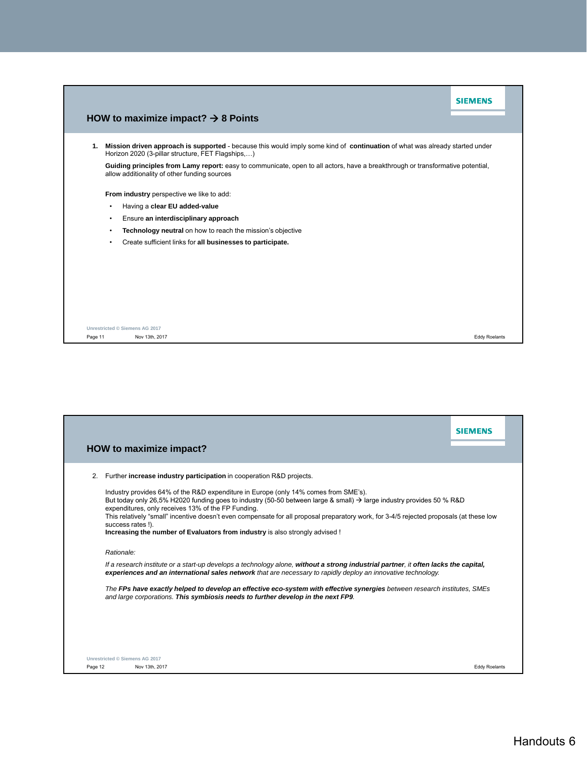|    |                                                                                                                                                                                 | SIEMENS |  |
|----|---------------------------------------------------------------------------------------------------------------------------------------------------------------------------------|---------|--|
|    | HOW to maximize impact? $\rightarrow$ 8 Points                                                                                                                                  |         |  |
| 1. | Mission driven approach is supported - because this would imply some kind of continuation of what was already started under<br>Horizon 2020 (3-pillar structure, FET Flagships) |         |  |
|    | Guiding principles from Lamy report: easy to communicate, open to all actors, have a breakthrough or transformative potential,<br>allow additionality of other funding sources  |         |  |
|    | From industry perspective we like to add:                                                                                                                                       |         |  |
|    | Having a clear EU added-value<br>$\bullet$                                                                                                                                      |         |  |
|    | Ensure an interdisciplinary approach<br>$\bullet$                                                                                                                               |         |  |
|    | Technology neutral on how to reach the mission's objective<br>$\bullet$                                                                                                         |         |  |
|    | Create sufficient links for all businesses to participate.<br>$\bullet$                                                                                                         |         |  |
|    |                                                                                                                                                                                 |         |  |
|    |                                                                                                                                                                                 |         |  |
|    |                                                                                                                                                                                 |         |  |
|    |                                                                                                                                                                                 |         |  |
|    |                                                                                                                                                                                 |         |  |
|    |                                                                                                                                                                                 |         |  |
|    | Unrestricted © Siemens AG 2017                                                                                                                                                  |         |  |

Page 11 Nov 13th, 2017 Nov 13th, 2017 November 2018 November 2018 November 2018 November 2018 November 2019 Roelants

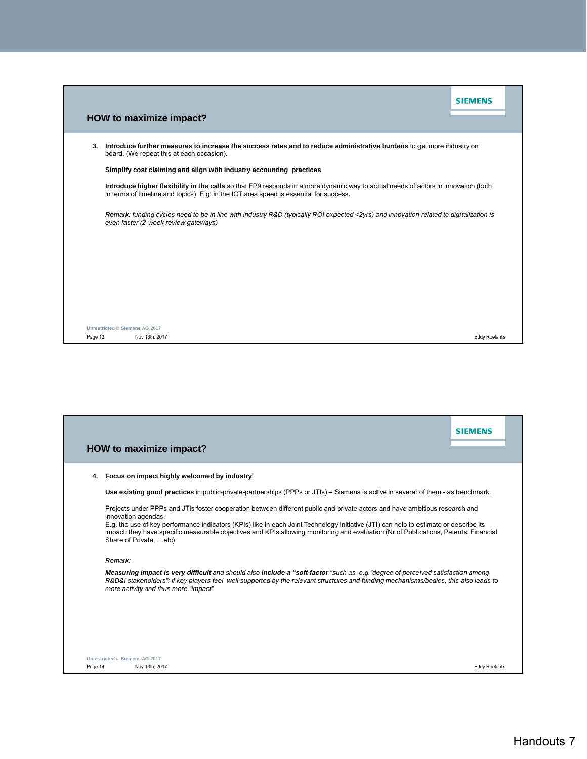|         |                                                                                                                                                                                                                              | <b>SIEMENS</b>       |  |
|---------|------------------------------------------------------------------------------------------------------------------------------------------------------------------------------------------------------------------------------|----------------------|--|
|         | HOW to maximize impact?                                                                                                                                                                                                      |                      |  |
| 3.      | Introduce further measures to increase the success rates and to reduce administrative burdens to get more industry on<br>board. (We repeat this at each occasion).                                                           |                      |  |
|         | Simplify cost claiming and align with industry accounting practices.                                                                                                                                                         |                      |  |
|         | Introduce higher flexibility in the calls so that FP9 responds in a more dynamic way to actual needs of actors in innovation (both<br>in terms of timeline and topics). E.g. in the ICT area speed is essential for success. |                      |  |
|         | Remark: funding cycles need to be in line with industry R&D (typically ROI expected <2yrs) and innovation related to digitalization is<br>even faster (2-week review gateways)                                               |                      |  |
|         |                                                                                                                                                                                                                              |                      |  |
|         |                                                                                                                                                                                                                              |                      |  |
|         |                                                                                                                                                                                                                              |                      |  |
|         |                                                                                                                                                                                                                              |                      |  |
|         |                                                                                                                                                                                                                              |                      |  |
|         | Unrestricted © Siemens AG 2017                                                                                                                                                                                               |                      |  |
| Page 13 | Nov 13th, 2017                                                                                                                                                                                                               | <b>Eddy Roelants</b> |  |

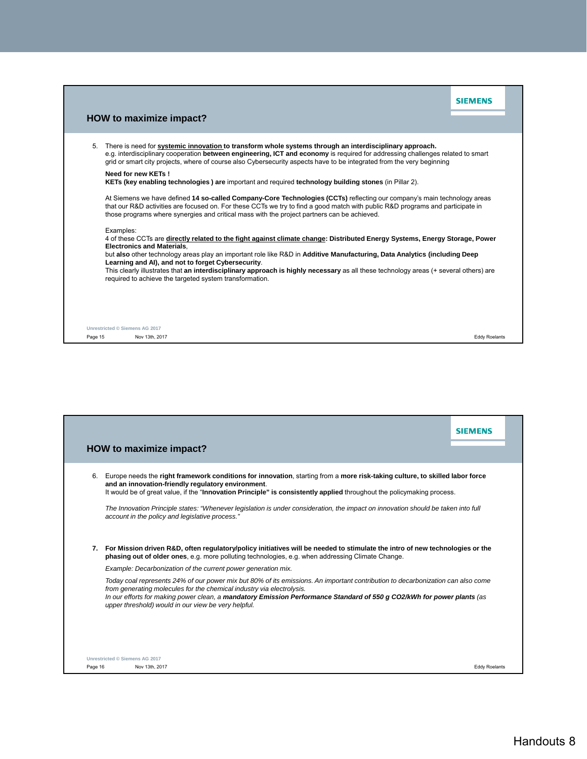|         |                                                                                                                                                                                                                                                                                                                                                                    | <b>SIEMENS</b>       |  |
|---------|--------------------------------------------------------------------------------------------------------------------------------------------------------------------------------------------------------------------------------------------------------------------------------------------------------------------------------------------------------------------|----------------------|--|
|         | HOW to maximize impact?                                                                                                                                                                                                                                                                                                                                            |                      |  |
| 5.      | There is need for systemic innovation to transform whole systems through an interdisciplinary approach.<br>e.g. interdisciplinary cooperation between engineering, ICT and economy is required for addressing challenges related to smart<br>grid or smart city projects, where of course also Cybersecurity aspects have to be integrated from the very beginning |                      |  |
|         | Need for new KETs !<br>KETs (key enabling technologies) are important and required technology building stones (in Pillar 2).                                                                                                                                                                                                                                       |                      |  |
|         | At Siemens we have defined 14 so-called Company-Core Technologies (CCTs) reflecting our company's main technology areas<br>that our R&D activities are focused on. For these CCTs we try to find a good match with public R&D programs and participate in<br>those programs where synergies and critical mass with the project partners can be achieved.           |                      |  |
|         | Examples:<br>4 of these CCTs are directly related to the fight against climate change: Distributed Energy Systems, Energy Storage, Power<br><b>Electronics and Materials.</b><br>but also other technology areas play an important role like R&D in Additive Manufacturing, Data Analytics (including Deep<br>Learning and AI), and not to forget Cybersecurity.   |                      |  |
|         | This clearly illustrates that an interdisciplinary approach is highly necessary as all these technology areas (+ several others) are<br>required to achieve the targeted system transformation.                                                                                                                                                                    |                      |  |
|         |                                                                                                                                                                                                                                                                                                                                                                    |                      |  |
|         | Unrestricted © Siemens AG 2017                                                                                                                                                                                                                                                                                                                                     |                      |  |
| Page 15 | Nov 13th, 2017                                                                                                                                                                                                                                                                                                                                                     | <b>Eddy Roelants</b> |  |

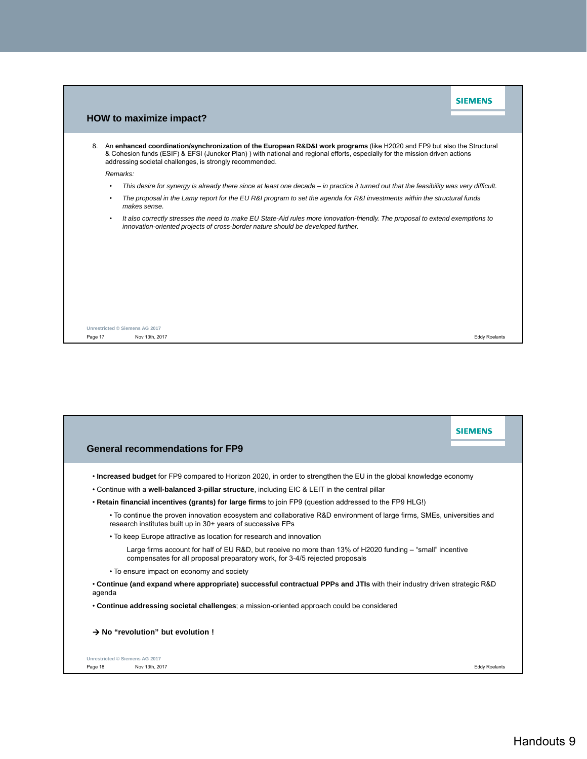|                         |           |                                                                                                                                                                                                                                                                                                                      | <b>SIEMENS</b>       |
|-------------------------|-----------|----------------------------------------------------------------------------------------------------------------------------------------------------------------------------------------------------------------------------------------------------------------------------------------------------------------------|----------------------|
| HOW to maximize impact? |           |                                                                                                                                                                                                                                                                                                                      |                      |
| 8.                      |           | An enhanced coordination/synchronization of the European R&D&I work programs (like H2020 and FP9 but also the Structural<br>& Cohesion funds (ESIF) & EFSI (Juncker Plan)) with national and regional efforts, especially for the mission driven actions<br>addressing societal challenges, is strongly recommended. |                      |
|                         |           | Remarks:                                                                                                                                                                                                                                                                                                             |                      |
|                         |           | This desire for synergy is already there since at least one decade – in practice it turned out that the feasibility was very difficult.                                                                                                                                                                              |                      |
|                         | $\bullet$ | The proposal in the Lamy report for the EU R&I program to set the agenda for R&I investments within the structural funds<br>makes sense.                                                                                                                                                                             |                      |
|                         |           | It also correctly stresses the need to make EU State-Aid rules more innovation-friendly. The proposal to extend exemptions to<br>innovation-oriented projects of cross-border nature should be developed further.                                                                                                    |                      |
|                         |           |                                                                                                                                                                                                                                                                                                                      |                      |
|                         |           |                                                                                                                                                                                                                                                                                                                      |                      |
|                         |           |                                                                                                                                                                                                                                                                                                                      |                      |
|                         |           |                                                                                                                                                                                                                                                                                                                      |                      |
|                         |           |                                                                                                                                                                                                                                                                                                                      |                      |
|                         |           |                                                                                                                                                                                                                                                                                                                      |                      |
|                         |           |                                                                                                                                                                                                                                                                                                                      |                      |
| Page 17                 |           | Unrestricted © Siemens AG 2017<br>Nov 13th, 2017                                                                                                                                                                                                                                                                     | <b>Eddy Roelants</b> |